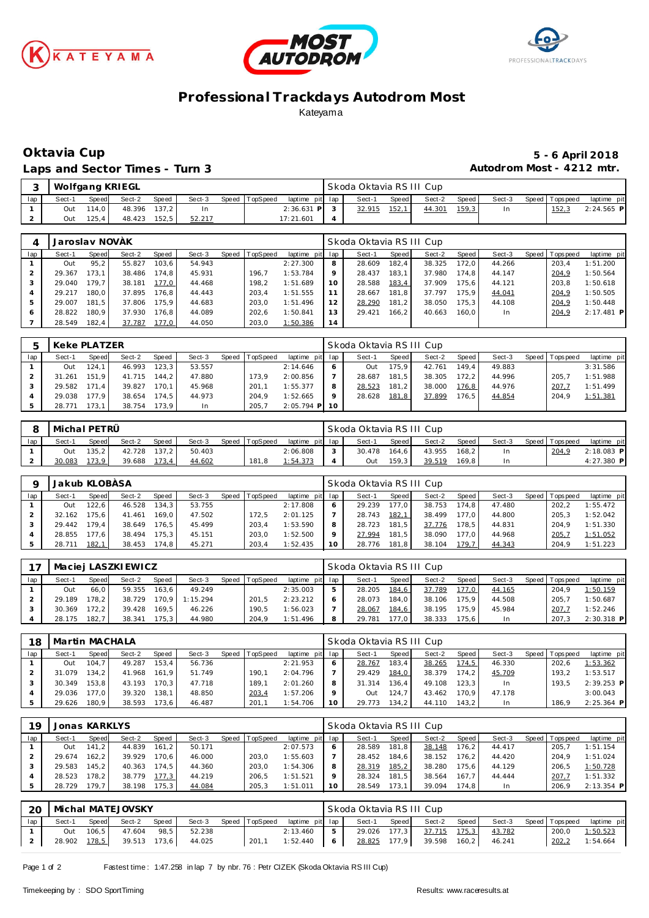





## **Professional Trackdays Autodrom Most** Kateyama

### Laps and Sector Times - Turn 3 **Autodrom Most - 4212 mtr.**

# **Oktavia Cup 5 - 6 April 2018**

|     |        |        | Wolfgang KRIEGL |       |        |                |                 | Skoda Oktavia RS III Cup |       |        |         |        |                 |              |
|-----|--------|--------|-----------------|-------|--------|----------------|-----------------|--------------------------|-------|--------|---------|--------|-----------------|--------------|
| lap | Sect-1 | Speed  | Sect-2          | Speed | Sect-3 | Speed TopSpeed | laptime pit lap | Sect-1                   | Speed | Sect-2 | Speed I | Sect-3 | Speed Tops peed | laptime pit  |
|     | Out    | 114.0  | 48.396 137.2    |       |        |                | $2:36.631$ P    | 32.915                   | 152,1 | 44.301 | 159,3   |        | ن 152           | $2:24.565$ P |
|     | Out    | 125.41 | 48.423          | 152.5 | 52.217 |                | 17:21.601       |                          |       |        |         |        |                 |              |

|     | Jaroslav NOVÁK |                    |        |       |        |       |          |                 |    | Skoda Oktavia RSIII Cup |         |        |       |        |                 |              |
|-----|----------------|--------------------|--------|-------|--------|-------|----------|-----------------|----|-------------------------|---------|--------|-------|--------|-----------------|--------------|
| lap | Sect-1         | Speed              | Sect-2 | Speed | Sect-3 | Speed | TopSpeed | laptime pit lap |    | Sect-1                  | Speed I | Sect-2 | Speed | Sect-3 | Speed Tops peed | laptime pit  |
|     | Out            | 95, 2              | 55.827 | 103.6 | 54.943 |       |          | 2:27.300        | 8  | 28.609                  | 182.4   | 38.325 | 172.0 | 44.266 | 203.4           | 1:51.200     |
|     | 29.367         | 173.1              | 38.486 | 174.8 | 45.931 |       | 196.7    | 1:53.784        | 9  | 28.437                  | 183.1   | 37.980 | 174.8 | 44.147 | 204,9           | 1:50.564     |
|     | 29.040         | 179.7 <sub>1</sub> | 38.181 | 177.0 | 44.468 |       | 198.2    | 1:51.689        | 10 | 28.588                  | 183,4   | 37.909 | 175.6 | 44.121 | 203.8           | 1:50.618     |
|     | 29.217         | 180.0              | 37.895 | 176.8 | 44.443 |       | 203.4    | 1:51.555        |    | 28.667                  | 181.8   | 37.797 | 175.9 | 44.041 | 204,9           | 1:50.505     |
|     | 29.007         | 181.5              | 37.806 | 175.9 | 44.683 |       | 203.0    | 1:51.496        | 12 | 28.290                  | 181,2   | 38.050 | 175.3 | 44.108 | 204,9           | 1:50.448     |
| 6   | 28.822         | 180.9              | 37.930 | 176.8 | 44.089 |       | 202.6    | 1:50.841        | 13 | 29.421                  | 166.2   | 40.663 | 160.0 | In     | 204,9           | $2:17.481$ P |
|     | 28.549         | 182.4              | 37.787 | 177,0 | 44.050 |       | 203.0    | 1:50.386        | 14 |                         |         |        |       |        |                 |              |

|     | Keke PLATZER |                   |        |       |        |       |         |                 |    | Skoda Oktavia RSIII Cup |                    |        |                    |        |       |            |             |
|-----|--------------|-------------------|--------|-------|--------|-------|---------|-----------------|----|-------------------------|--------------------|--------|--------------------|--------|-------|------------|-------------|
| lap | Sect-1       | Speed             | Sect-2 | Speed | Sect-3 | Speed | opSpeed | laptime pit lap |    | Sect-1                  | Speed              | Sect-2 | Speed              | Sect-3 | Speed | Tops pee d | laptime pit |
|     | Out          | 124.1             | 46.993 | 123.3 | 53.557 |       |         | 2:14.646        |    | Out                     | 175.9 <sub>1</sub> | 42.761 | 149.4              | 49.883 |       |            | 3:31.586    |
|     | 31.261       | 151.9             | 41.715 | 144.2 | 47.880 |       | 173.9   | 2:00.856        |    | 28.687                  | 181.5              | 38.305 | 172.2              | 44.996 |       | 205.7      | 1:51.988    |
|     | 29.582       | $171.4$           | 39.827 | 170.1 | 45.968 |       | 201.7   | 1:55.377        |    | 28.523                  | 181.2              | 38,000 | 176.8              | 44.976 |       | 207.7      | 1:51.499    |
|     | 29.038       | 77.9 <sub>1</sub> | 38.654 | 174.5 | 44.973 |       | 204.9   | 1:52.665        |    | 28.628                  | 181,8              | 37.899 | 176.5 <sub>1</sub> | 44.854 |       | 204.9      | 1:51.381    |
|     | 28.771       | 173.1             | 38.754 | 173.9 | In     |       | 205,7   | $2:05.794$ P    | 10 |                         |                    |        |                    |        |       |            |             |

|     | l Michal PETRÜ |              |        |              |        |                |                 | Skoda Oktavia RSIII Cup |       |        |       |        |                   |             |
|-----|----------------|--------------|--------|--------------|--------|----------------|-----------------|-------------------------|-------|--------|-------|--------|-------------------|-------------|
| lap | Sect-1         | <b>Speed</b> | Sect-2 | <b>Speed</b> | Sect-3 | Speed TopSpeed | laptime pit lap | Sect-                   | Speed | Sect-2 | Speed | Sect-3 | Speed   Tops peed | laptime pit |
|     | Out            | 135.2        | 42.728 | 137.2        | 50.403 |                | 2:06.808        | 30.478                  | 164.6 | 43.955 | 168.2 | In.    | 204,9             | 2:18.083 P  |
|     | 30.083         | 173,9        | 39.688 | 173,4        | 44.602 | 181.8          | 1:54.373        | Out                     | 159.3 | 39.519 | 169.8 | In     |                   | 4:27.380 P  |

|     | Jakub KLOBÁSA |        |        |         |        |       |          |                 |    | Skoda Oktavia RSIII Cup |       |        |       |        |         |            |             |
|-----|---------------|--------|--------|---------|--------|-------|----------|-----------------|----|-------------------------|-------|--------|-------|--------|---------|------------|-------------|
| lap | Sect-1        | Speed  | Sect-2 | Speed   | Sect-3 | Speed | TopSpeed | laptime pit lap |    | Sect-1                  | Speed | Sect-2 | Speed | Sect-3 | Speed I | T ops peed | laptime pit |
|     | Out           | 122.61 | 46.528 | 134.3   | 53.755 |       |          | 2:17.808        |    | 29.239                  | 177.0 | 38.753 | 174.8 | 47.480 |         | 202.2      | 1:55.472    |
|     | 32.162        | 75.6   | 41.461 | 169.0 l | 47.502 |       | 172.5    | 2:01.125        |    | 28.743                  | 182,1 | 38.499 | 177.0 | 44.800 |         | 205.3      | 1:52.042    |
|     | 29.442        | 179.41 | 38.649 | 176.51  | 45.499 |       | 203.4    | 1:53.590        | 8  | 28.723                  | 181.5 | 37.776 | 178.5 | 44.831 |         | 204.9      | 1:51.330    |
|     | 28.855        | 77.6   | 38.494 | 175.3   | 45.151 |       | 203.0    | 1:52.500        |    | 27.994                  | 181.5 | 38.090 | 177.0 | 44.968 |         | 205.       | 1:51.052    |
|     | 28.711        | 182.7  | 38.453 | 174.8   | 45.271 |       | 203.4    | 1:52.435        | 10 | 28.776                  | 181,8 | 38.104 | 179.7 | 44.343 |         | 204.9      | 1:51.223    |

|     |        |              | Maciei LASZKI EWICZ |       |          |       |          |                 |   | Skoda Oktavia RS III Cup |       |        |       |        |                 |              |
|-----|--------|--------------|---------------------|-------|----------|-------|----------|-----------------|---|--------------------------|-------|--------|-------|--------|-----------------|--------------|
| lap | Sect-1 | <b>Speed</b> | Sect-2              | Speed | Sect-3   | Speed | TopSpeed | laptime pit lap |   | Sect-1                   | Speed | Sect-2 | Speed | Sect-3 | Speed Tops peed | laptime pit  |
|     | Out    | 66.0         | 59.355              | 163.6 | 49.249   |       |          | 2:35.003        | 5 | 28.205                   | 184,6 | 37.789 | 177.0 | 44.165 | 204.9           | 1:50.159     |
|     | 29.189 | 178.2 I      | 38.729              | 170.9 | 1:15.294 |       | 201.5    | 2:23.212        |   | 28.073                   | 184.0 | 38.106 | 175.9 | 44.508 | 205.7           | 1:50.687     |
|     | 30.369 | 172.2        | 39.428              | 169.5 | 46.226   |       | 190.5    | 1:56.023        |   | 28.067                   | 184,6 | 38.195 | 175.9 | 45.984 | 207.7           | 1:52.246     |
|     | 28.175 | 182.7        | 38.341              | 175.3 | 44.980   |       | 204.9    | 1:51.496        | 8 | 29.781                   | 177.0 | 38.333 | 175.6 | In     | 207.3           | $2:30.318$ P |

| 18  | Martin MACHALA |       |        |         |        |                |                 |         | Skoda Oktavia RSIII Cup |       |        |       |        |                 |              |
|-----|----------------|-------|--------|---------|--------|----------------|-----------------|---------|-------------------------|-------|--------|-------|--------|-----------------|--------------|
| lap | Sect-1         | Speed | Sect-2 | Speed   | Sect-3 | Speed TopSpeed | laptime pit lap |         | Sect-1                  | Speed | Sect-2 | Speed | Sect-3 | Speed Tops peed | laptime pit  |
|     | Out            | 104.7 | 49.287 | 153.4   | 56.736 |                | 2:21.953        |         | 28.767                  | 183.4 | 38.265 | 174,5 | 46.330 | 202.6           | 1:53.362     |
|     | 31.079         | 134.2 | 41.968 | 161.9   | 51.749 | 190.1          | 2:04.796        |         | 29.429                  | 184,0 | 38.379 | 174.2 | 45.709 | 193.2           | 1:53.517     |
|     | 30.349         | 153.8 | 43.193 | 170.3   | 47.718 | 189.1          | 2:01.260        | 8       | 31.314                  | 136.4 | 49.108 | 123.3 | In     | 193.5           | $2:39.253$ P |
|     | 29.036         | 177.0 | 39.320 | 138.1   | 48.850 | 203,4          | 1:57.206        | $\circ$ | Out                     | 124.7 | 43.462 | 170.9 | 47.178 |                 | 3:00.043     |
|     | 29.626         | 180.9 | 38.593 | 173.6 I | 46.487 | 201.7          | 1:54.706        | 10      | 29.773                  | 134,2 | 44.110 | 143.2 | In     | 186.9           | $2:25.364$ P |

| 19  |        | Jonas KARKLYS |        |        |        |                  |                 |    | Skoda Oktavia RSIII Cup |       |        |                    |        |                 |              |
|-----|--------|---------------|--------|--------|--------|------------------|-----------------|----|-------------------------|-------|--------|--------------------|--------|-----------------|--------------|
| lap | Sect-1 | Speed         | Sect-2 | Speed  | Sect-3 | Speed   TopSpeed | laptime pit lap |    | Sect-1                  | Speed | Sect-2 | Speed              | Sect-3 | Speed Tops peed | laptime pit  |
|     | Out    | 141.2         | 44.839 | 161.21 | 50.171 |                  | 2:07.573        |    | 28.589                  | 181.8 | 38.148 | 176.2 <sub>1</sub> | 44.417 | 205.7           | 1:51.154     |
|     | 29.674 | $162.2$ I     | 39.929 | 70.6   | 46.000 | 203.0            | 1:55.603        |    | 28.452                  | 184.6 | 38.152 | 176.21             | 44.420 | 204.9           | 1:51.024     |
|     | 29.583 | 145.2         | 40.363 | 174.5  | 44.360 | 203.0            | 1:54.306        | 8  | 28.319                  | 185,2 | 38.280 | 175.6              | 44.129 | 206.5           | 1:50.728     |
|     | 28.523 | 178.2         | 38.779 | 177.3  | 44.219 | 206.5            | 1:51.521        |    | 28.324                  | 181.5 | 38.564 | 167.7              | 44.444 | 207.7           | 1:51.332     |
|     | 28.729 | 179.7         | 38.198 | 75.3   | 44.084 | 205.3            | 1:51.011        | 10 | 28.549                  | 173.1 | 39.094 | 174.8              | In     | 206.9           | $2:13.354$ P |

| 20  |              |        | Michal MATEJOVSKY |       |        |                |                 |   | Skoda Oktavia RS III Cup |       |        |         |        |                 |             |
|-----|--------------|--------|-------------------|-------|--------|----------------|-----------------|---|--------------------------|-------|--------|---------|--------|-----------------|-------------|
| lap | Sect-1       | Speed  | Sect-2            | Speed | Sect-3 | Speed TopSpeed | laptime pit lap |   | Sect-1                   | Speed | Sect-2 | Speed   | Sect-3 | Speed Tops peed | laptime pit |
|     | Out          | 106, 5 | 47.604            | 98.5  | 52.238 |                | 2:13.460        |   | 29.026 177,3             |       | 37.715 | 175,3   | 43.782 | 200.0           | 1:50.523    |
|     | 28.902 178.5 |        | 39.513 173.6      |       | 44.025 | 201.1          | 1:52.440        | 6 | 28.825 177,9             |       | 39.598 | $160.2$ | 46.241 | 202.2           | 1:54.664    |

Page 1 of 2 Fastest time : 1:47.258 in lap 7 by nbr. 76 : Petr CIZEK (Skoda Oktavia RS III Cup)